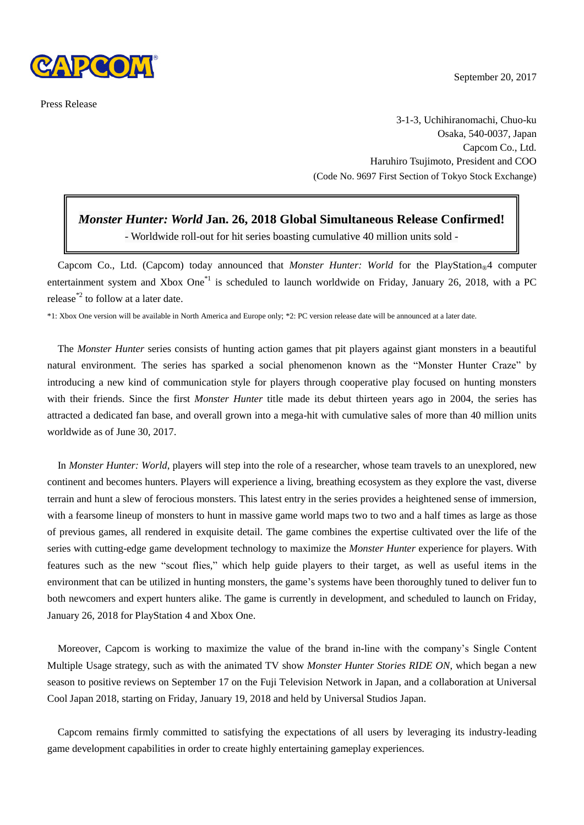

Press Release

3-1-3, Uchihiranomachi, Chuo-ku Osaka, 540-0037, Japan Capcom Co., Ltd. Haruhiro Tsujimoto, President and COO (Code No. 9697 First Section of Tokyo Stock Exchange)

## *Monster Hunter: World* **Jan. 26, 2018 Global Simultaneous Release Confirmed!**

- Worldwide roll-out for hit series boasting cumulative 40 million units sold -

Capcom Co., Ltd. (Capcom) today announced that *Monster Hunter: World* for the PlayStation<sup>®4</sup> computer entertainment system and Xbox One<sup>\*1</sup> is scheduled to launch worldwide on Friday, January 26, 2018, with a PC release\*2 to follow at a later date.

\*1: Xbox One version will be available in North America and Europe only; \*2: PC version release date will be announced at a later date.

The *Monster Hunter* series consists of hunting action games that pit players against giant monsters in a beautiful natural environment. The series has sparked a social phenomenon known as the "Monster Hunter Craze" by introducing a new kind of communication style for players through cooperative play focused on hunting monsters with their friends. Since the first *Monster Hunter* title made its debut thirteen years ago in 2004, the series has attracted a dedicated fan base, and overall grown into a mega-hit with cumulative sales of more than 40 million units worldwide as of June 30, 2017.

In *Monster Hunter: World*, players will step into the role of a researcher, whose team travels to an unexplored, new continent and becomes hunters. Players will experience a living, breathing ecosystem as they explore the vast, diverse terrain and hunt a slew of ferocious monsters. This latest entry in the series provides a heightened sense of immersion, with a fearsome lineup of monsters to hunt in massive game world maps two to two and a half times as large as those of previous games, all rendered in exquisite detail. The game combines the expertise cultivated over the life of the series with cutting-edge game development technology to maximize the *Monster Hunter* experience for players. With features such as the new "scout flies," which help guide players to their target, as well as useful items in the environment that can be utilized in hunting monsters, the game's systems have been thoroughly tuned to deliver fun to both newcomers and expert hunters alike. The game is currently in development, and scheduled to launch on Friday, January 26, 2018 for PlayStation 4 and Xbox One.

Moreover, Capcom is working to maximize the value of the brand in-line with the company's Single Content Multiple Usage strategy, such as with the animated TV show *Monster Hunter Stories RIDE ON*, which began a new season to positive reviews on September 17 on the Fuji Television Network in Japan, and a collaboration at Universal Cool Japan 2018, starting on Friday, January 19, 2018 and held by Universal Studios Japan.

Capcom remains firmly committed to satisfying the expectations of all users by leveraging its industry-leading game development capabilities in order to create highly entertaining gameplay experiences.